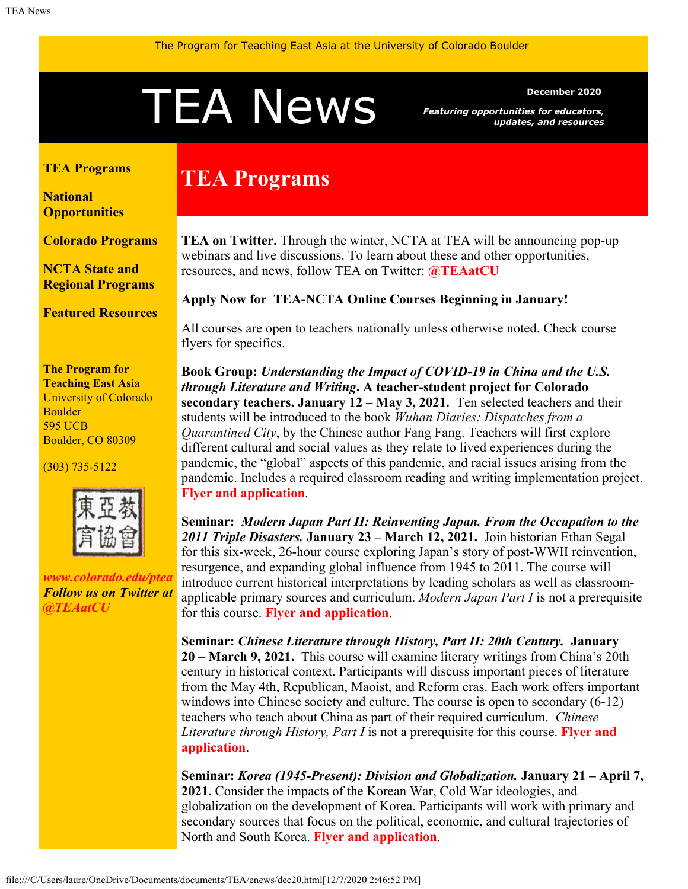# <span id="page-0-1"></span>December 2020<br> **TEANEWS** Featuring opportunities for educators,<br>
updates, and resources

*Featuring opportunities for educators, updates, and resources*

### <span id="page-0-0"></span>**[TEA Programs](#page-0-0)**

**[National](#page-0-1) [Opportunities](#page-0-1)**

**[Colorado Programs](#page-1-0)**

**[NCTA State and](#page-2-0) [Regional Programs](#page-2-0)**

**[Featured Resources](#page-2-1)**

**The Program for Teaching East Asia** University of Colorado Boulder 595 UCB Boulder, CO 80309

(303) 735-5122



*[www.colorado.edu/ptea](http://www.colorado.edu/cas/tea) Follow us on Twitter at [@TEAatCU](https://twitter.com/TEAatCU)*

# **TEA Programs**

**TEA on Twitter.** Through the winter, NCTA at TEA will be announcing pop-up webinars and live discussions. To learn about these and other opportunities, resources, and news, follow TEA on Twitter: **[@TEAatCU](https://twitter.com/TEAatCU)**

## **Apply Now for TEA-NCTA Online Courses Beginning in January!**

All courses are open to teachers nationally unless otherwise noted. Check course flyers for specifics.

**Book Group:** *Understanding the Impact of COVID-19 in China and the U.S. through Literature and Writing***. A teacher-student project for Colorado secondary teachers. January 12 – May 3, 2021.** Ten selected teachers and their students will be introduced to the book *Wuhan Diaries: Dispatches from a Quarantined City*, by the Chinese author Fang Fang. Teachers will first explore different cultural and social values as they relate to lived experiences during the pandemic, the "global" aspects of this pandemic, and racial issues arising from the pandemic. Includes a required classroom reading and writing implementation project. **[Flyer and application](https://www.colorado.edu/ptea/node/821/attachment)**.

**Seminar:** *Modern Japan Part II: Reinventing Japan. From the Occupation to the 2011 Triple Disasters.* **January 23 – March 12, 2021.** Join historian Ethan Segal for this six-week, 26-hour course exploring Japan's story of post-WWII reinvention, resurgence, and expanding global influence from 1945 to 2011. The course will introduce current historical interpretations by leading scholars as well as classroomapplicable primary sources and curriculum. *Modern Japan Part I* is not a prerequisite for this course. **[Flyer and application](https://www.colorado.edu/ptea/node/819/attachment)**.

**Seminar:** *Chinese Literature through History, Part II: 20th Century.* **January 20 – March 9, 2021.** This course will examine literary writings from China's 20th century in historical context. Participants will discuss important pieces of literature from the May 4th, Republican, Maoist, and Reform eras. Each work offers important windows into Chinese society and culture. The course is open to secondary (6-12) teachers who teach about China as part of their required curriculum. *Chinese Literature through History, Part I* is not a prerequisite for this course. **[Flyer and](https://www.colorado.edu/ptea/content/ChineseLit2) [application](https://www.colorado.edu/ptea/content/ChineseLit2)**.

**Seminar:** *Korea (1945-Present): Division and Globalization.* **January 21 – April 7, 2021.** Consider the impacts of the Korean War, Cold War ideologies, and globalization on the development of Korea. Participants will work with primary and secondary sources that focus on the political, economic, and cultural trajectories of North and South Korea. **[Flyer and application](https://www.colorado.edu/ptea/sites/default/files/attached-files/2021koreacoursepart2flyer.pdf)**.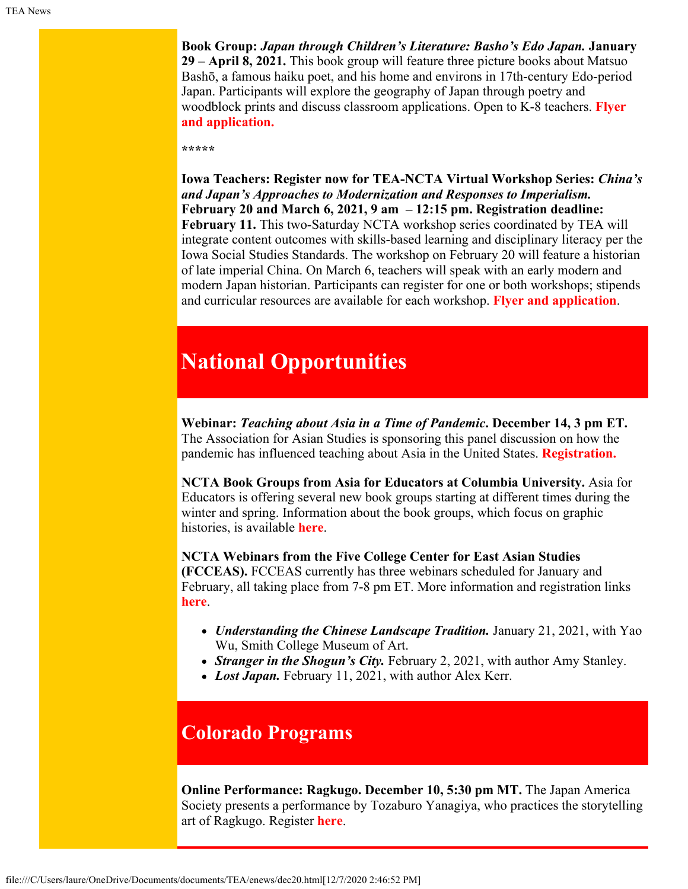**Book Group:** *Japan through Children's Literature: Basho's Edo Japan.* **January 29 – April 8, 2021.** This book group will feature three picture books about Matsuo Bashō, a famous haiku poet, and his home and environs in 17th-century Edo-period Japan. Participants will explore the geography of Japan through poetry and woodblock prints and discuss classroom applications. Open to K-8 teachers. **[Flyer](https://www.colorado.edu/ptea/sites/default/files/attached-files/ws2021jpkidlitbgflyer.pdf) [and application.](https://www.colorado.edu/ptea/sites/default/files/attached-files/ws2021jpkidlitbgflyer.pdf)**

#### **\*\*\*\*\***

**Iowa Teachers: Register now for TEA-NCTA Virtual Workshop Series:** *China's and Japan's Approaches to Modernization and Responses to Imperialism.* **February 20 and March 6, 2021, 9 am – 12:15 pm. Registration deadline: February 11.** This two-Saturday NCTA workshop series coordinated by TEA will integrate content outcomes with skills-based learning and disciplinary literacy per the Iowa Social Studies Standards. The workshop on February 20 will feature a historian of late imperial China. On March 6, teachers will speak with an early modern and modern Japan historian. Participants can register for one or both workshops; stipends and curricular resources are available for each workshop. **[Flyer and application](https://www.colorado.edu/ptea/sites/default/files/attached-files/ia2021wkshpsflyer.pdf)**.

## **National Opportunities**

**Webinar:** *Teaching about Asia in a Time of Pandemic***. December 14, 3 pm ET.** The Association for Asian Studies is sponsoring this panel discussion on how the pandemic has influenced teaching about Asia in the United States. **[Registration.](https://www.asianstudies.org/jobs-professional-resources/aas-digital-dialogues/teachin-about-asia-in-a-time-of-pandemic/)**

**NCTA Book Groups from Asia for Educators at Columbia University.** Asia for Educators is offering several new book groups starting at different times during the winter and spring. Information about the book groups, which focus on graphic histories, is available **[here](http://afe.easia.columbia.edu/online_course/)**.

**NCTA Webinars from the Five College Center for East Asian Studies (FCCEAS).** FCCEAS currently has three webinars scheduled for January and February, all taking place from 7-8 pm ET. More information and registration links **[here](https://www.fivecolleges.edu/fcceas/webinar)**.

- *Understanding the Chinese Landscape Tradition.* January 21, 2021, with Yao Wu, Smith College Museum of Art.
- *Stranger in the Shogun's City.* February 2, 2021, with author Amy Stanley.
- Lost Japan. February 11, 2021, with author Alex Kerr.

## <span id="page-1-0"></span>**Colorado Programs**

**Online Performance: Ragkugo. December 10, 5:30 pm MT.** The Japan America Society presents a performance by Tozaburo Yanagiya, who practices the storytelling art of Ragkugo. Register **[here](https://www.jascolorado.org/eventscurrent/2020/12/10/rakugo#!event-register/2020/12/10/rakugo)**.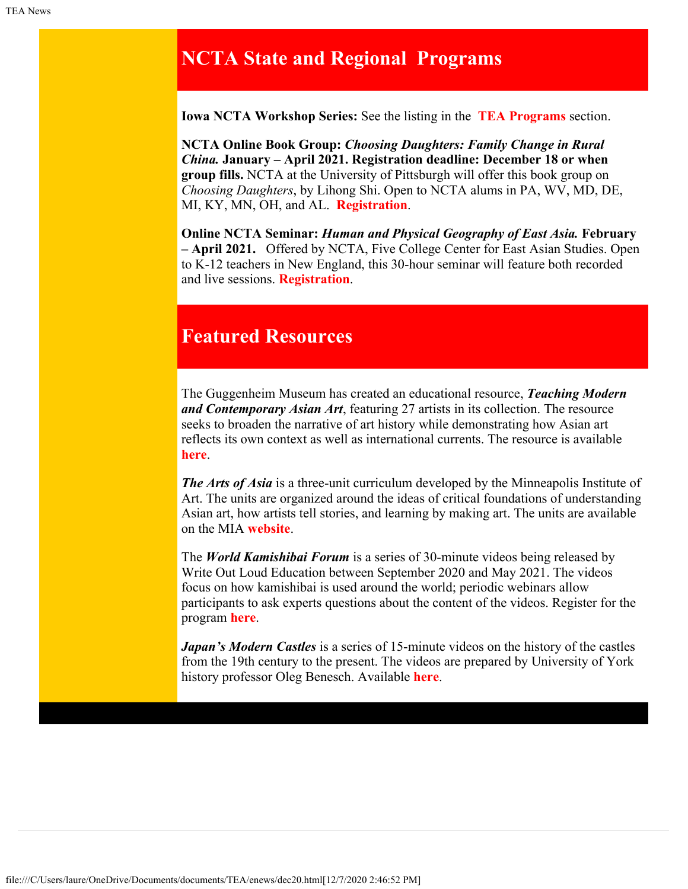## <span id="page-2-0"></span>**NCTA State and Regional Programs**

**Iowa NCTA Workshop Series:** See the listing in the **[TEA Programs](#page-0-0)** section.

**NCTA Online Book Group:** *Choosing Daughters: Family Change in Rural China.* **January – April 2021. Registration deadline: December 18 or when group fills.** NCTA at the University of Pittsburgh will offer this book group on *Choosing Daughters*, by Lihong Shi. Open to NCTA alums in PA, WV, MD, DE, MI, KY, MN, OH, and AL. **[Registration](https://forms.gle/jYDGHpUDSStfpibTA)**.

**Online NCTA Seminar:** *Human and Physical Geography of East Asia.* **February – April 2021.** Offered by NCTA, Five College Center for East Asian Studies. Open to K-12 teachers in New England, this 30-hour seminar will feature both recorded and live sessions. **[Registration](https://www.fivecolleges.edu/fcceas/ncta)**.

## <span id="page-2-1"></span>**Featured Resources**

The Guggenheim Museum has created an educational resource, *Teaching Modern and Contemporary Asian Art*, featuring 27 artists in its collection. The resource seeks to broaden the narrative of art history while demonstrating how Asian art reflects its own context as well as international currents. The resource is available **[here](https://www.guggenheim.org/teaching-materials/teaching-modern-and-contemporary-asian-art)**.

*The Arts of Asia* is a three-unit curriculum developed by the Minneapolis Institute of Art. The units are organized around the ideas of critical foundations of understanding Asian art, how artists tell stories, and learning by making art. The units are available on the MIA **[website](https://new.artsmia.org/learning-resources/arts-of-asia/)**.

The *World Kamishibai Forum* is a series of 30-minute videos being released by Write Out Loud Education between September 2020 and May 2021. The videos focus on how kamishibai is used around the world; periodic webinars allow participants to ask experts questions about the content of the videos. Register for the program **[here](https://writeoutloudeducation.weebly.com/world-kamishibai-forum.html)**.

*Japan's Modern Castles* is a series of 15-minute videos on the history of the castles from the 19th century to the present. The videos are prepared by University of York history professor Oleg Benesch. Available **[here](https://www.youtube.com/channel/UCPRrUo9ORKSNp9uwP_XUoPg/featured)**.